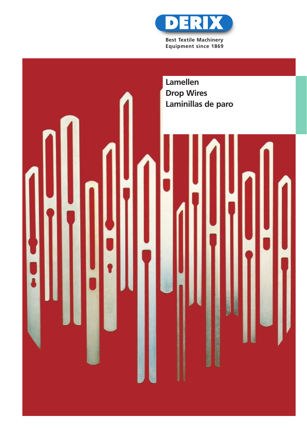

**Best Textile Machinery Equipment since 1869**

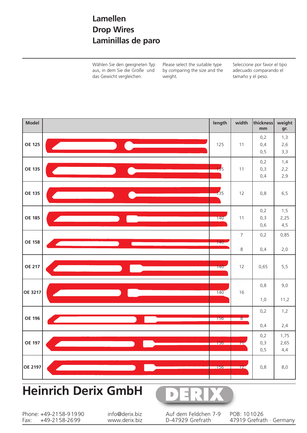## **Lamellen Drop Wires Laminillas de paro**

Wählen Sie den geeigneten Typ aus, in dem Sie die Größe und das Gewicht vergleichen.

Please select the suitable type by comparing the size and the weight.

Seleccione por favor el tipo adecuado comparando el tamaño y el peso.



# **Heinrich Derix GmbH**



Phone: +49-2158-91990<br>Fax: +49-2158-2699 +49-2158-2699

info@derix.biz www.derix.biz Auf dem Feldchen 7-9 D-47929 Grefrath

POB: 101026 47919 Grefrath · Germany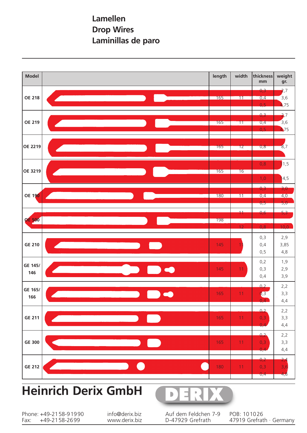### **Lamellen Drop Wires Laminillas de paro**



# **Heinrich Derix GmbH**



Phone: +49-2158-91990<br>Fax: +49-2158-2699 +49-2158-2699

info@derix.biz www.derix.biz Auf dem Feldchen 7-9 D-47929 Grefrath

POB: 101026 47919 Grefrath · Germany